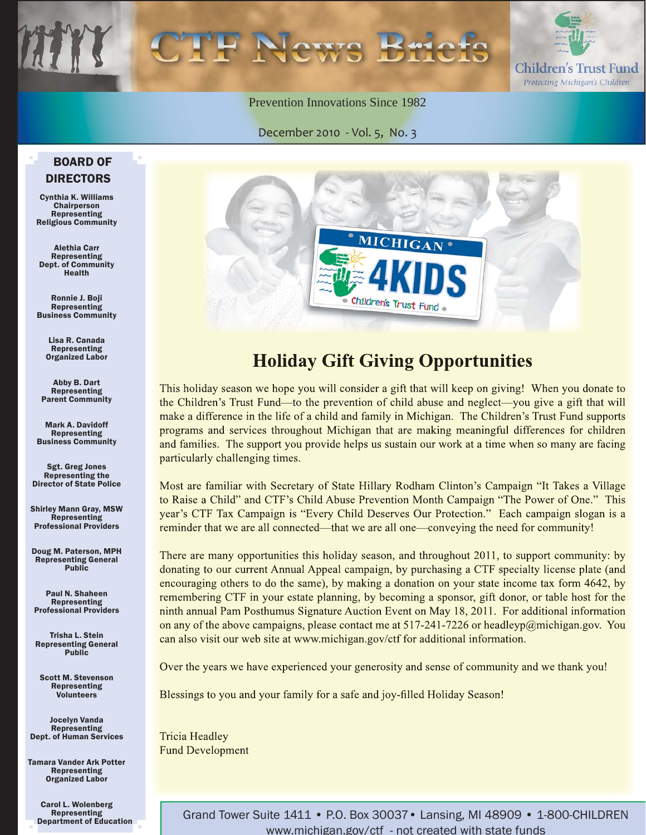

Prevention Innovations Since 1982

December 2010 - Vol. 5, No. 3

#### BOARD OF DIRECTORS

Cynthia K. Williams Chairperson Representing Religious Community

Alethia Carr Representing Dept. of Community Health

Ronnie J. Boji Representing Business Community

Lisa R. Canada Representing Organized Labor

Abby B. Dart Representing Parent Community

Mark A. Davidoff Representing Business Community

Sgt. Greg Jones Representing the Director of State Police

Shirley Mann Gray, MSW **Representing** Professional Providers

Doug M. Paterson, MPH Representing General Public

Paul N. Shaheen Representing Professional Providers

Trisha L. Stein Representing General Public

Scott M. Stevenson Representing **Volunteers** 

Jocelyn Vanda Representing Dept. of Human Services

Tamara Vander Ark Potter Representing Organized Labor

Carol L. Wolenberg Representing Department of Education



### **Holiday Gift Giving Opportunities**

This holiday season we hope you will consider a gift that will keep on giving! When you donate to the Children's Trust Fund—to the prevention of child abuse and neglect—you give a gift that will make a difference in the life of a child and family in Michigan. The Children's Trust Fund supports programs and services throughout Michigan that are making meaningful differences for children and families. The support you provide helps us sustain our work at a time when so many are facing particularly challenging times.

Most are familiar with Secretary of State Hillary Rodham Clinton's Campaign "It Takes a Village to Raise a Child" and CTF's Child Abuse Prevention Month Campaign "The Power of One." This year's CTF Tax Campaign is "Every Child Deserves Our Protection." Each campaign slogan is a reminder that we are all connected—that we are all one—conveying the need for community!

There are many opportunities this holiday season, and throughout 2011, to support community: by donating to our current Annual Appeal campaign, by purchasing a CTF specialty license plate (and encouraging others to do the same), by making a donation on your state income tax form 4642, by remembering CTF in your estate planning, by becoming a sponsor, gift donor, or table host for the ninth annual Pam Posthumus Signature Auction Event on May 18, 2011. For additional information on any of the above campaigns, please contact me at  $517-241-7226$  or headleyp@michigan.gov. You can also visit our web site at www.michigan.gov/ctf for additional information.

Over the years we have experienced your generosity and sense of community and we thank you!

Blessings to you and your family for a safe and joy-filled Holiday Season!

**Tricia Headley Fund Development** 

> Grand Tower Suite 1411 • P.O. Box 30037• Lansing, MI 48909 • 1-800-CHILDREN www.michigan.gov/ctf - not created with state funds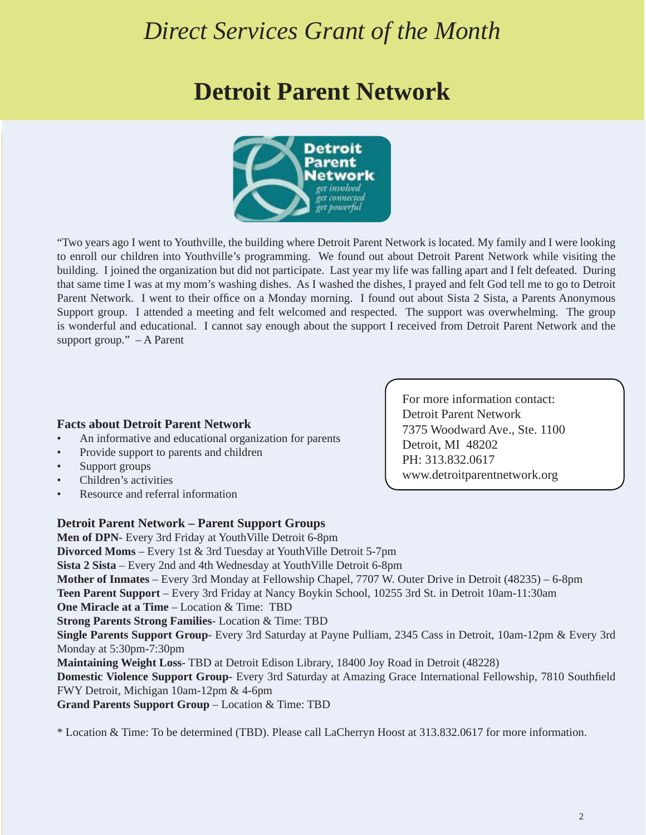### *Direct Services Grant of the Month*

### **Detroit Parent Network**



"Two years ago I went to Youthville, the building where Detroit Parent Network is located. My family and I were looking to enroll our children into Youthville's programming. We found out about Detroit Parent Network while visiting the building. I joined the organization but did not participate. Last year my life was falling apart and I felt defeated. During that same time I was at my mom's washing dishes. As I washed the dishes, I prayed and felt God tell me to go to Detroit Parent Network. I went to their office on a Monday morning. I found out about Sista 2 Sista, a Parents Anonymous Support group. I attended a meeting and felt welcomed and respected. The support was overwhelming. The group is wonderful and educational. I cannot say enough about the support I received from Detroit Parent Network and the support group." – A Parent

#### **Facts about Detroit Parent Network**

- An informative and educational organization for parents
- Provide support to parents and children
- Support groups
- Children's activities
- Resource and referral information

#### **Detroit Parent Network – Parent Support Groups**

**Men of DPN**- Every 3rd Friday at YouthVille Detroit 6-8pm **Divorced Moms** – Every 1st & 3rd Tuesday at YouthVille Detroit 5-7pm **Sista 2 Sista** – Every 2nd and 4th Wednesday at YouthVille Detroit 6-8pm **Mother of Inmates** – Every 3rd Monday at Fellowship Chapel, 7707 W. Outer Drive in Detroit (48235) – 6-8pm **Teen Parent Support** – Every 3rd Friday at Nancy Boykin School, 10255 3rd St. in Detroit 10am-11:30am **One Miracle at a Time** – Location & Time: TBD **Strong Parents Strong Families**- Location & Time: TBD **Single Parents Support Group**- Every 3rd Saturday at Payne Pulliam, 2345 Cass in Detroit, 10am-12pm & Every 3rd Monday at 5:30pm-7:30pm **Maintaining Weight Loss**- TBD at Detroit Edison Library, 18400 Joy Road in Detroit (48228) **Domestic Violence Support Group**- Every 3rd Saturday at Amazing Grace International Fellowship, 7810 Southfield FWY Detroit, Michigan 10am-12pm & 4-6pm **Grand Parents Support Group** – Location & Time: TBD

\* Location & Time: To be determined (TBD). Please call LaCherryn Hoost at 313.832.0617 for more information.

For more information contact: Detroit Parent Network 7375 Woodward Ave., Ste. 1100 Detroit, MI 48202 PH: 313.832.0617 www.detroitparentnetwork.org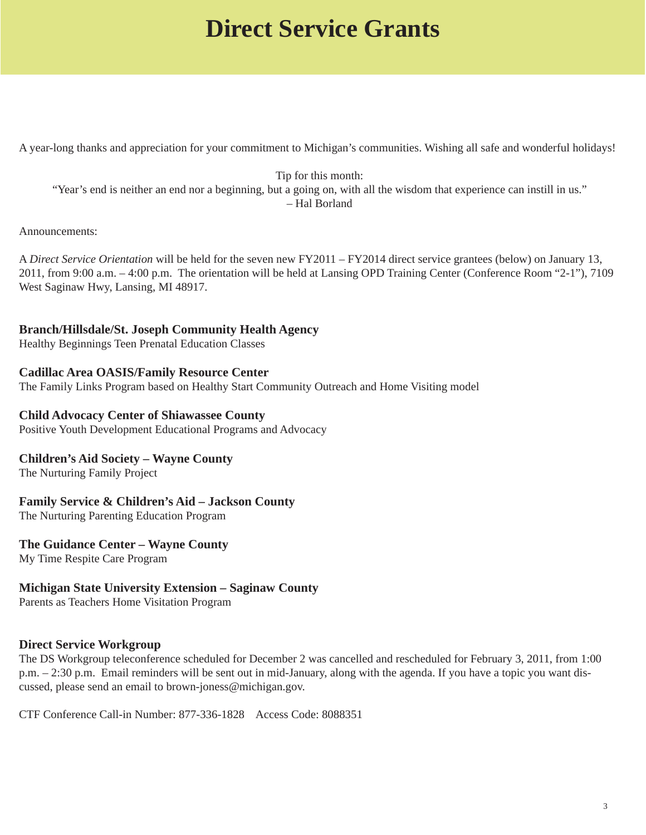### **Direct Service Grants**

A year-long thanks and appreciation for your commitment to Michigan's communities. Wishing all safe and wonderful holidays!

Tip for this month: "Year's end is neither an end nor a beginning, but a going on, with all the wisdom that experience can instill in us." – Hal Borland

#### Announcements:

A *Direct Service Orientation* will be held for the seven new FY2011 – FY2014 direct service grantees (below) on January 13, 2011, from 9:00 a.m. – 4:00 p.m. The orientation will be held at Lansing OPD Training Center (Conference Room "2-1"), 7109 West Saginaw Hwy, Lansing, MI 48917.

#### **Branch/Hillsdale/St. Joseph Community Health Agency**

Healthy Beginnings Teen Prenatal Education Classes

#### **Cadillac Area OASIS/Family Resource Center**

The Family Links Program based on Healthy Start Community Outreach and Home Visiting model

#### **Child Advocacy Center of Shiawassee County**

Positive Youth Development Educational Programs and Advocacy

#### **Children's Aid Society – Wayne County**

The Nurturing Family Project

#### **Family Service & Children's Aid – Jackson County**

The Nurturing Parenting Education Program

#### **The Guidance Center – Wayne County**

My Time Respite Care Program

#### **Michigan State University Extension – Saginaw County**

Parents as Teachers Home Visitation Program

#### **Direct Service Workgroup**

The DS Workgroup teleconference scheduled for December 2 was cancelled and rescheduled for February 3, 2011, from 1:00 p.m. – 2:30 p.m. Email reminders will be sent out in mid-January, along with the agenda. If you have a topic you want discussed, please send an email to brown-joness@michigan.gov.

CTF Conference Call-in Number: 877-336-1828 Access Code: 8088351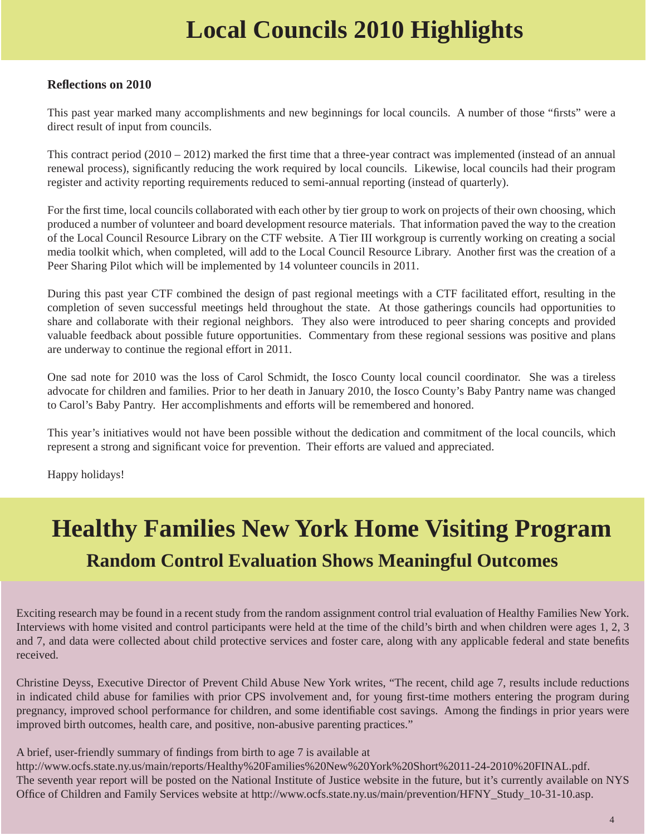# **Local Councils 2010 Highlights**

#### **Refl ections on 2010**

This past year marked many accomplishments and new beginnings for local councils. A number of those "firsts" were a direct result of input from councils.

This contract period  $(2010 - 2012)$  marked the first time that a three-year contract was implemented (instead of an annual renewal process), significantly reducing the work required by local councils. Likewise, local councils had their program register and activity reporting requirements reduced to semi-annual reporting (instead of quarterly).

For the first time, local councils collaborated with each other by tier group to work on projects of their own choosing, which produced a number of volunteer and board development resource materials. That information paved the way to the creation of the Local Council Resource Library on the CTF website. A Tier III workgroup is currently working on creating a social media toolkit which, when completed, will add to the Local Council Resource Library. Another first was the creation of a Peer Sharing Pilot which will be implemented by 14 volunteer councils in 2011.

During this past year CTF combined the design of past regional meetings with a CTF facilitated effort, resulting in the completion of seven successful meetings held throughout the state. At those gatherings councils had opportunities to share and collaborate with their regional neighbors. They also were introduced to peer sharing concepts and provided valuable feedback about possible future opportunities. Commentary from these regional sessions was positive and plans are underway to continue the regional effort in 2011.

One sad note for 2010 was the loss of Carol Schmidt, the Iosco County local council coordinator. She was a tireless advocate for children and families. Prior to her death in January 2010, the Iosco County's Baby Pantry name was changed to Carol's Baby Pantry. Her accomplishments and efforts will be remembered and honored.

This year's initiatives would not have been possible without the dedication and commitment of the local councils, which represent a strong and significant voice for prevention. Their efforts are valued and appreciated.

Happy holidays!

## **Healthy Families New York Home Visiting Program Random Control Evaluation Shows Meaningful Outcomes**

Exciting research may be found in a recent study from the random assignment control trial evaluation of Healthy Families New York. Interviews with home visited and control participants were held at the time of the child's birth and when children were ages 1, 2, 3 and 7, and data were collected about child protective services and foster care, along with any applicable federal and state benefits received.

Christine Deyss, Executive Director of Prevent Child Abuse New York writes, "The recent, child age 7, results include reductions in indicated child abuse for families with prior CPS involvement and, for young first-time mothers entering the program during pregnancy, improved school performance for children, and some identifiable cost savings. Among the findings in prior years were improved birth outcomes, health care, and positive, non-abusive parenting practices."

A brief, user-friendly summary of findings from birth to age 7 is available at

http://www.ocfs.state.ny.us/main/reports/Healthy%20Families%20New%20York%20Short%2011-24-2010%20FINAL.pdf. The seventh year report will be posted on the National Institute of Justice website in the future, but it's currently available on NYS Office of Children and Family Services website at http://www.ocfs.state.ny.us/main/prevention/HFNY\_Study\_10-31-10.asp.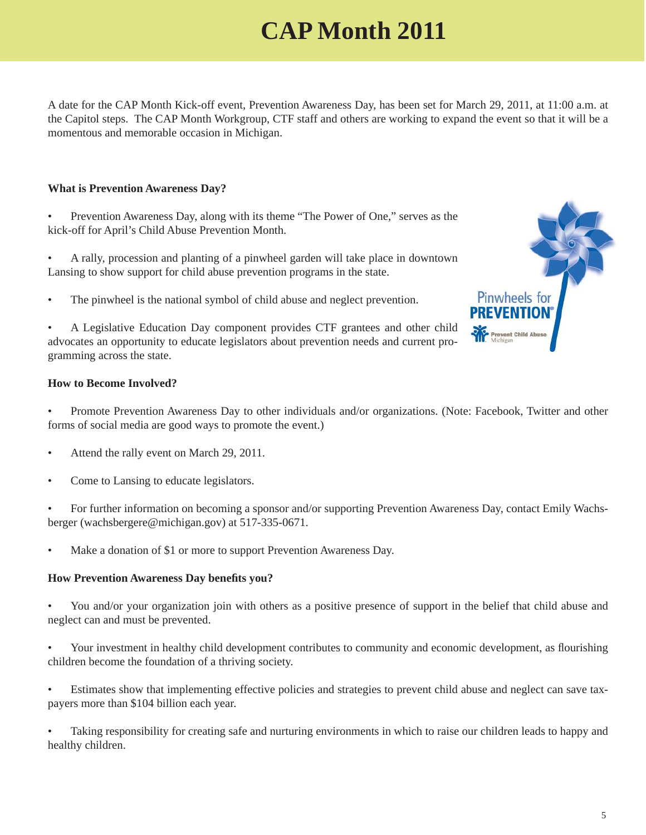# **CAP Month 2011**

A date for the CAP Month Kick-off event, Prevention Awareness Day, has been set for March 29, 2011, at 11:00 a.m. at the Capitol steps. The CAP Month Workgroup, CTF staff and others are working to expand the event so that it will be a momentous and memorable occasion in Michigan.

#### **What is Prevention Awareness Day?**

- Prevention Awareness Day, along with its theme "The Power of One," serves as the kick-off for April's Child Abuse Prevention Month.
- A rally, procession and planting of a pinwheel garden will take place in downtown Lansing to show support for child abuse prevention programs in the state.
- The pinwheel is the national symbol of child abuse and neglect prevention.

• A Legislative Education Day component provides CTF grantees and other child advocates an opportunity to educate legislators about prevention needs and current programming across the state.

#### **How to Become Involved?**

• Promote Prevention Awareness Day to other individuals and/or organizations. (Note: Facebook, Twitter and other forms of social media are good ways to promote the event.)

- Attend the rally event on March 29, 2011.
- Come to Lansing to educate legislators.

• For further information on becoming a sponsor and/or supporting Prevention Awareness Day, contact Emily Wachsberger (wachsbergere@michigan.gov) at 517-335-0671.

Make a donation of \$1 or more to support Prevention Awareness Day.

#### **How Prevention Awareness Day benefits you?**

• You and/or your organization join with others as a positive presence of support in the belief that child abuse and neglect can and must be prevented.

• Your investment in healthy child development contributes to community and economic development, as flourishing children become the foundation of a thriving society.

• Estimates show that implementing effective policies and strategies to prevent child abuse and neglect can save taxpayers more than \$104 billion each year.

• Taking responsibility for creating safe and nurturing environments in which to raise our children leads to happy and healthy children.

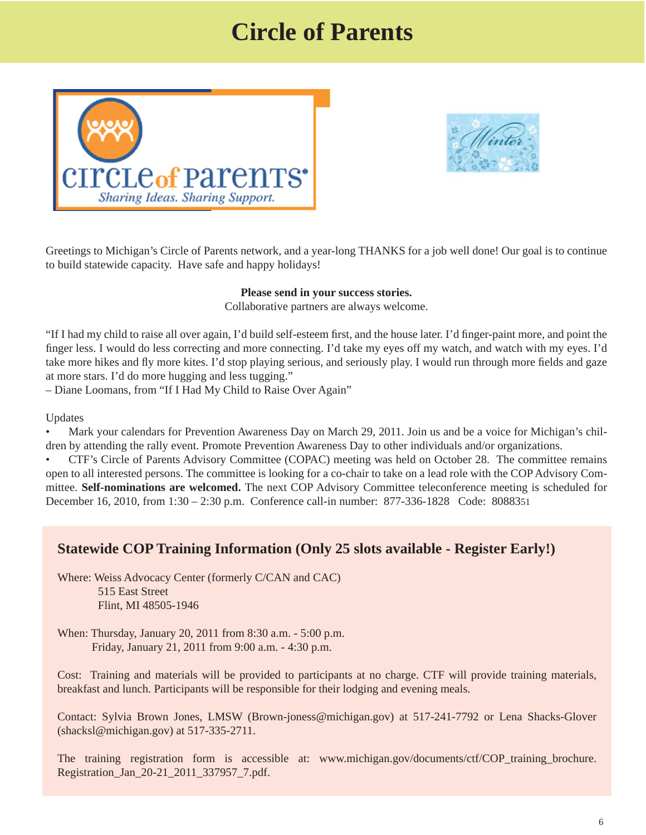### **Circle of Parents**





Greetings to Michigan's Circle of Parents network, and a year-long THANKS for a job well done! Our goal is to continue to build statewide capacity. Have safe and happy holidays!

#### **Please send in your success stories.**

Collaborative partners are always welcome.

"If I had my child to raise all over again, I'd build self-esteem first, and the house later. I'd finger-paint more, and point the finger less. I would do less correcting and more connecting. I'd take my eyes off my watch, and watch with my eyes. I'd take more hikes and fly more kites. I'd stop playing serious, and seriously play. I would run through more fields and gaze at more stars. I'd do more hugging and less tugging."

– Diane Loomans, from "If I Had My Child to Raise Over Again"

Updates

• Mark your calendars for Prevention Awareness Day on March 29, 2011. Join us and be a voice for Michigan's children by attending the rally event. Promote Prevention Awareness Day to other individuals and/or organizations.

• CTF's Circle of Parents Advisory Committee (COPAC) meeting was held on October 28. The committee remains open to all interested persons. The committee is looking for a co-chair to take on a lead role with the COP Advisory Committee. **Self-nominations are welcomed.** The next COP Advisory Committee teleconference meeting is scheduled for December 16, 2010, from 1:30 – 2:30 p.m. Conference call-in number: 877-336-1828 Code: 8088351

#### **Statewide COP Training Information (Only 25 slots available - Register Early!)**

Where: Weiss Advocacy Center (formerly C/CAN and CAC) 515 East Street Flint, MI 48505-1946

When: Thursday, January 20, 2011 from 8:30 a.m. - 5:00 p.m. Friday, January 21, 2011 from 9:00 a.m. - 4:30 p.m.

Cost: Training and materials will be provided to participants at no charge. CTF will provide training materials, breakfast and lunch. Participants will be responsible for their lodging and evening meals.

Contact: Sylvia Brown Jones, LMSW (Brown-joness@michigan.gov) at 517-241-7792 or Lena Shacks-Glover (shacksl@michigan.gov) at 517-335-2711.

[The training registration form is accessible at: www.michigan.gov/documents/ctf/COP\\_training\\_brochure.](www.michigan.gov/documents/ctf/COP_training_brochure.Registration_Jan_20-21_2011_337957_7.pdf) Registration\_Jan\_20-21\_2011\_337957\_7.pdf.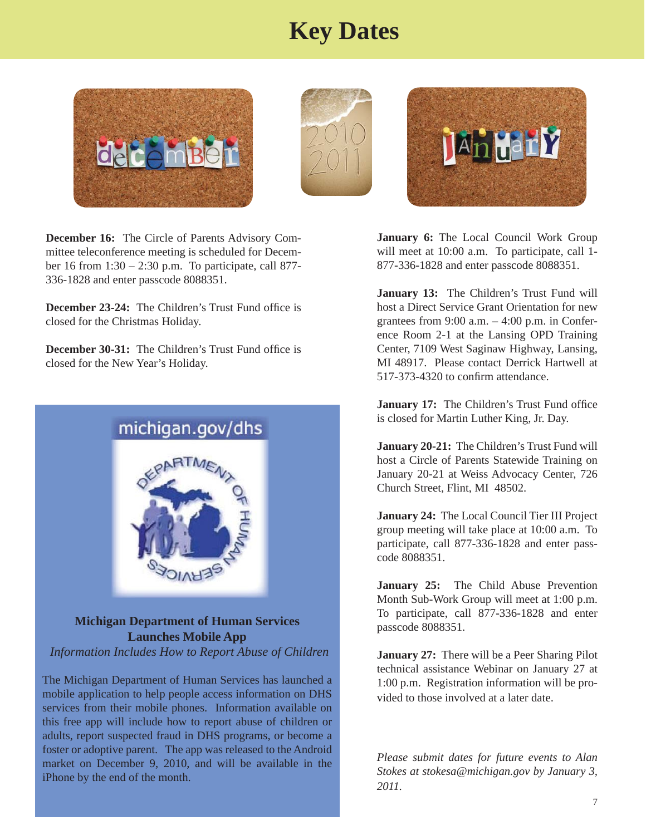### **Key Dates**







**December 16:** The Circle of Parents Advisory Committee teleconference meeting is scheduled for December 16 from 1:30 – 2:30 p.m. To participate, call 877- 336-1828 and enter passcode 8088351.

**December 23-24:** The Children's Trust Fund office is closed for the Christmas Holiday.

**December 30-31:** The Children's Trust Fund office is closed for the New Year's Holiday.



**Michigan Department of Human Services Launches Mobile App** *Information Includes How to Report Abuse of Children*

The Michigan Department of Human Services has launched a mobile application to help people access information on DHS services from their mobile phones. Information available on this free app will include how to report abuse of children or adults, report suspected fraud in DHS programs, or become a foster or adoptive parent. The app was released to the Android market on December 9, 2010, and will be available in the iPhone by the end of the month.

**January 6:** The Local Council Work Group will meet at 10:00 a.m. To participate, call 1- 877-336-1828 and enter passcode 8088351.

**January 13:** The Children's Trust Fund will host a Direct Service Grant Orientation for new grantees from  $9:00$  a.m.  $-4:00$  p.m. in Conference Room 2-1 at the Lansing OPD Training Center, 7109 West Saginaw Highway, Lansing, MI 48917. Please contact Derrick Hartwell at 517-373-4320 to confirm attendance.

**January 17:** The Children's Trust Fund office is closed for Martin Luther King, Jr. Day.

**January 20-21:** The Children's Trust Fund will host a Circle of Parents Statewide Training on January 20-21 at Weiss Advocacy Center, 726 Church Street, Flint, MI 48502.

**January 24:** The Local Council Tier III Project group meeting will take place at 10:00 a.m. To participate, call 877-336-1828 and enter passcode 8088351.

January 25: The Child Abuse Prevention Month Sub-Work Group will meet at 1:00 p.m. To participate, call 877-336-1828 and enter passcode 8088351.

**January 27:** There will be a Peer Sharing Pilot technical assistance Webinar on January 27 at 1:00 p.m. Registration information will be provided to those involved at a later date.

*Please submit dates for future events to Alan Stokes at stokesa@michigan.gov by January 3, 2011.*